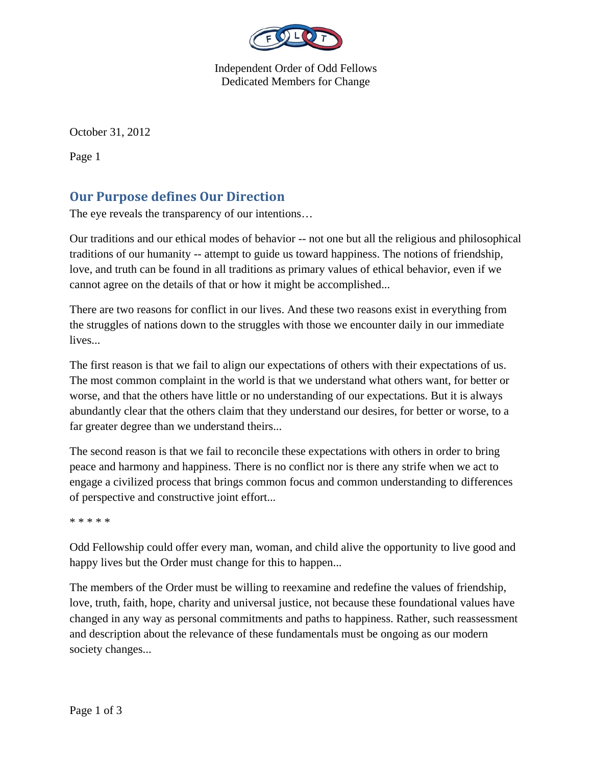

Independent Order of Odd Fellows Dedicated Members for Change

October 31, 2012

Page 1

## **Our Purpose defines Our Direction**

The eye reveals the transparency of our intentions…

Our traditions and our ethical modes of behavior -- not one but all the religious and philosophical traditions of our humanity -- attempt to guide us toward happiness. The notions of friendship, love, and truth can be found in all traditions as primary values of ethical behavior, even if we cannot agree on the details of that or how it might be accomplished...

There are two reasons for conflict in our lives. And these two reasons exist in everything from the struggles of nations down to the struggles with those we encounter daily in our immediate lives...

The first reason is that we fail to align our expectations of others with their expectations of us. The most common complaint in the world is that we understand what others want, for better or worse, and that the others have little or no understanding of our expectations. But it is always abundantly clear that the others claim that they understand our desires, for better or worse, to a far greater degree than we understand theirs...

The second reason is that we fail to reconcile these expectations with others in order to bring peace and harmony and happiness. There is no conflict nor is there any strife when we act to engage a civilized process that brings common focus and common understanding to differences of perspective and constructive joint effort...

\* \* \* \* \*

Odd Fellowship could offer every man, woman, and child alive the opportunity to live good and happy lives but the Order must change for this to happen...

The members of the Order must be willing to reexamine and redefine the values of friendship, love, truth, faith, hope, charity and universal justice, not because these foundational values have changed in any way as personal commitments and paths to happiness. Rather, such reassessment and description about the relevance of these fundamentals must be ongoing as our modern society changes...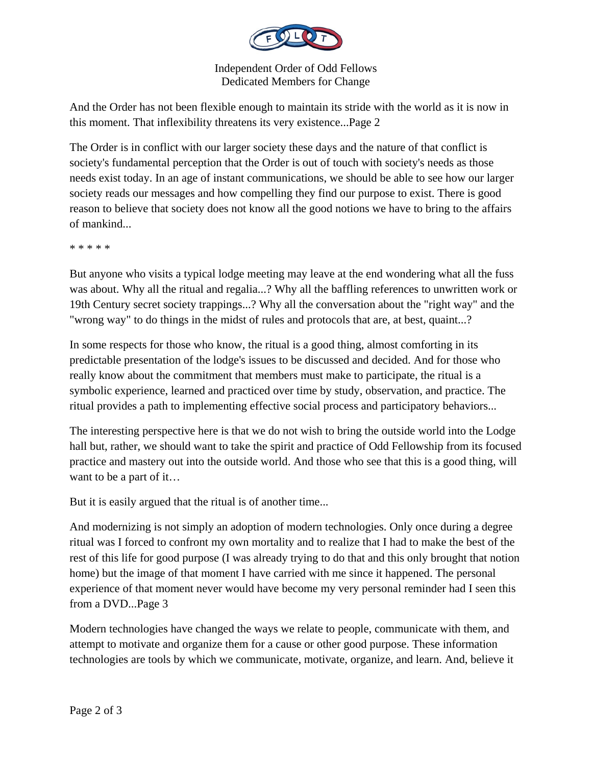

Independent Order of Odd Fellows Dedicated Members for Change

And the Order has not been flexible enough to maintain its stride with the world as it is now in this moment. That inflexibility threatens its very existence...Page 2

The Order is in conflict with our larger society these days and the nature of that conflict is society's fundamental perception that the Order is out of touch with society's needs as those needs exist today. In an age of instant communications, we should be able to see how our larger society reads our messages and how compelling they find our purpose to exist. There is good reason to believe that society does not know all the good notions we have to bring to the affairs of mankind...

\* \* \* \* \*

But anyone who visits a typical lodge meeting may leave at the end wondering what all the fuss was about. Why all the ritual and regalia...? Why all the baffling references to unwritten work or 19th Century secret society trappings...? Why all the conversation about the "right way" and the "wrong way" to do things in the midst of rules and protocols that are, at best, quaint...?

In some respects for those who know, the ritual is a good thing, almost comforting in its predictable presentation of the lodge's issues to be discussed and decided. And for those who really know about the commitment that members must make to participate, the ritual is a symbolic experience, learned and practiced over time by study, observation, and practice. The ritual provides a path to implementing effective social process and participatory behaviors...

The interesting perspective here is that we do not wish to bring the outside world into the Lodge hall but, rather, we should want to take the spirit and practice of Odd Fellowship from its focused practice and mastery out into the outside world. And those who see that this is a good thing, will want to be a part of it…

But it is easily argued that the ritual is of another time...

And modernizing is not simply an adoption of modern technologies. Only once during a degree ritual was I forced to confront my own mortality and to realize that I had to make the best of the rest of this life for good purpose (I was already trying to do that and this only brought that notion home) but the image of that moment I have carried with me since it happened. The personal experience of that moment never would have become my very personal reminder had I seen this from a DVD...Page 3

Modern technologies have changed the ways we relate to people, communicate with them, and attempt to motivate and organize them for a cause or other good purpose. These information technologies are tools by which we communicate, motivate, organize, and learn. And, believe it